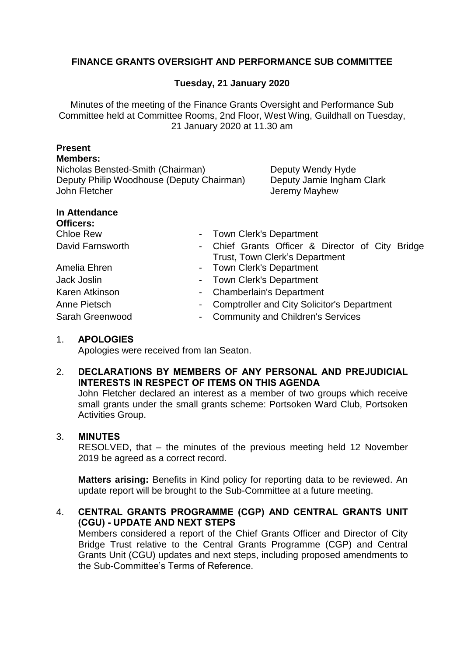# **FINANCE GRANTS OVERSIGHT AND PERFORMANCE SUB COMMITTEE**

## **Tuesday, 21 January 2020**

Minutes of the meeting of the Finance Grants Oversight and Performance Sub Committee held at Committee Rooms, 2nd Floor, West Wing, Guildhall on Tuesday, 21 January 2020 at 11.30 am

| <b>Present</b>                            |                |                                                    |
|-------------------------------------------|----------------|----------------------------------------------------|
| <b>Members:</b>                           |                |                                                    |
| Nicholas Bensted-Smith (Chairman)         |                | Deputy Wendy Hyde                                  |
| Deputy Philip Woodhouse (Deputy Chairman) |                | Deputy Jamie Ingham Clark                          |
| John Fletcher                             |                | Jeremy Mayhew                                      |
| In Attendance                             |                |                                                    |
| Officers:                                 |                |                                                    |
| Chloe Rew                                 |                | <b>Town Clerk's Department</b>                     |
| David Farnsworth                          |                | - Chief Grants Officer & Director of City Bridge   |
|                                           |                | <b>Trust, Town Clerk's Department</b>              |
| Amelia Ehren                              | $\blacksquare$ | <b>Town Clerk's Department</b>                     |
| Jack Joslin                               |                | <b>Town Clerk's Department</b>                     |
| Karen Atkinson                            |                | <b>Chamberlain's Department</b>                    |
| Anne Pietsch                              |                | <b>Comptroller and City Solicitor's Department</b> |
| Sarah Greenwood                           |                | <b>Community and Children's Services</b>           |
| 1.<br><b>APOLOGIES</b>                    |                |                                                    |

Apologies were received from Ian Seaton.

#### 2. **DECLARATIONS BY MEMBERS OF ANY PERSONAL AND PREJUDICIAL INTERESTS IN RESPECT OF ITEMS ON THIS AGENDA**

John Fletcher declared an interest as a member of two groups which receive small grants under the small grants scheme: Portsoken Ward Club, Portsoken Activities Group.

#### 3. **MINUTES**

RESOLVED, that – the minutes of the previous meeting held 12 November 2019 be agreed as a correct record.

**Matters arising:** Benefits in Kind policy for reporting data to be reviewed. An update report will be brought to the Sub-Committee at a future meeting.

## 4. **CENTRAL GRANTS PROGRAMME (CGP) AND CENTRAL GRANTS UNIT (CGU) - UPDATE AND NEXT STEPS**

Members considered a report of the Chief Grants Officer and Director of City Bridge Trust relative to the Central Grants Programme (CGP) and Central Grants Unit (CGU) updates and next steps, including proposed amendments to the Sub-Committee's Terms of Reference.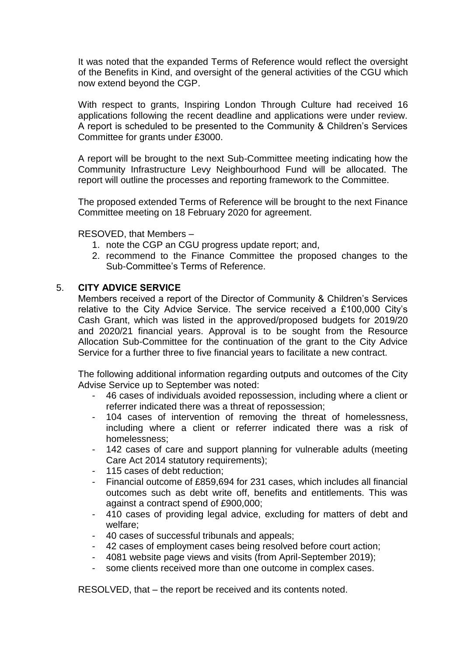It was noted that the expanded Terms of Reference would reflect the oversight of the Benefits in Kind, and oversight of the general activities of the CGU which now extend beyond the CGP.

With respect to grants, Inspiring London Through Culture had received 16 applications following the recent deadline and applications were under review. A report is scheduled to be presented to the Community & Children's Services Committee for grants under £3000.

A report will be brought to the next Sub-Committee meeting indicating how the Community Infrastructure Levy Neighbourhood Fund will be allocated. The report will outline the processes and reporting framework to the Committee.

The proposed extended Terms of Reference will be brought to the next Finance Committee meeting on 18 February 2020 for agreement.

RESOVED, that Members –

- 1. note the CGP an CGU progress update report; and,
- 2. recommend to the Finance Committee the proposed changes to the Sub-Committee's Terms of Reference.

#### 5. **CITY ADVICE SERVICE**

Members received a report of the Director of Community & Children's Services relative to the City Advice Service. The service received a £100,000 City's Cash Grant, which was listed in the approved/proposed budgets for 2019/20 and 2020/21 financial years. Approval is to be sought from the Resource Allocation Sub-Committee for the continuation of the grant to the City Advice Service for a further three to five financial years to facilitate a new contract.

The following additional information regarding outputs and outcomes of the City Advise Service up to September was noted:

- 46 cases of individuals avoided repossession, including where a client or referrer indicated there was a threat of repossession;
- 104 cases of intervention of removing the threat of homelessness, including where a client or referrer indicated there was a risk of homelessness;
- 142 cases of care and support planning for vulnerable adults (meeting Care Act 2014 statutory requirements);
- 115 cases of debt reduction;
- Financial outcome of £859,694 for 231 cases, which includes all financial outcomes such as debt write off, benefits and entitlements. This was against a contract spend of £900,000;
- 410 cases of providing legal advice, excluding for matters of debt and welfare;
- 40 cases of successful tribunals and appeals;
- 42 cases of employment cases being resolved before court action;
- 4081 website page views and visits (from April-September 2019);
- some clients received more than one outcome in complex cases.

RESOLVED, that – the report be received and its contents noted.